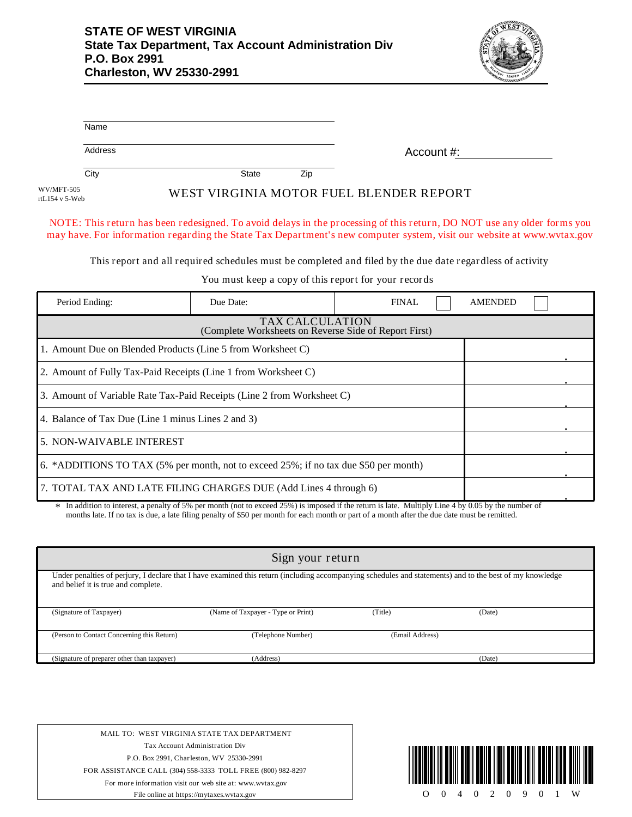

| Name                         |                                         |                                                                                                                                                                                                                                                   |
|------------------------------|-----------------------------------------|---------------------------------------------------------------------------------------------------------------------------------------------------------------------------------------------------------------------------------------------------|
| Address                      |                                         | Account #:                                                                                                                                                                                                                                        |
| City                         | Zip<br><b>State</b>                     |                                                                                                                                                                                                                                                   |
| WV/MFT-505<br>rtL154 v 5-Web | WEST VIRGINIA MOTOR FUEL BLENDER REPORT |                                                                                                                                                                                                                                                   |
|                              |                                         | NOTE: This return has been redesigned. To avoid delays in the processing of this return, DO NOT use any older forms you<br>may have. For information regarding the State Tax Department's new computer system, visit our website at www.wvtax.gov |

This report and all required schedules must be completed and filed by the due date regardless of activity

You must keep a copy of this report for your records

| Period Ending:                                                                       | Due Date:                                                      | FINAL |  | <b>AMENDED</b> |  |  |
|--------------------------------------------------------------------------------------|----------------------------------------------------------------|-------|--|----------------|--|--|
| <b>TAX CALCULATION</b><br>(Complete Worksheets on Reverse Side of Report First)      |                                                                |       |  |                |  |  |
| 1. Amount Due on Blended Products (Line 5 from Worksheet C)                          |                                                                |       |  |                |  |  |
|                                                                                      | 2. Amount of Fully Tax-Paid Receipts (Line 1 from Worksheet C) |       |  |                |  |  |
| 3. Amount of Variable Rate Tax-Paid Receipts (Line 2 from Worksheet C)               |                                                                |       |  |                |  |  |
| 4. Balance of Tax Due (Line 1 minus Lines 2 and 3)                                   |                                                                |       |  |                |  |  |
| 5. NON-WAIVABLE INTEREST                                                             |                                                                |       |  |                |  |  |
| 6. *ADDITIONS TO TAX (5% per month, not to exceed 25%; if no tax due \$50 per month) |                                                                |       |  |                |  |  |
| 7. TOTAL TAX AND LATE FILING CHARGES DUE (Add Lines 4 through 6)                     |                                                                |       |  |                |  |  |

In addition to interest, a penalty of 5% per month (not to exceed 25%) is imposed if the return is late. Multiply Line 4 by 0.05 by the number of months late. If no tax is due, a late filing penalty of \$50 per month for each month or part of a month after the due date must be remitted.

| Sign your return                                                                                                                                                                                |                                    |                 |        |  |  |
|-------------------------------------------------------------------------------------------------------------------------------------------------------------------------------------------------|------------------------------------|-----------------|--------|--|--|
| Under penalties of perjury, I declare that I have examined this return (including accompanying schedules and statements) and to the best of my knowledge<br>and belief it is true and complete. |                                    |                 |        |  |  |
| (Signature of Taxpayer)                                                                                                                                                                         | (Name of Taxpayer - Type or Print) | (Title)         | (Date) |  |  |
| (Person to Contact Concerning this Return)                                                                                                                                                      | (Telephone Number)                 | (Email Address) |        |  |  |
| (Signature of preparer other than taxpayer)                                                                                                                                                     | (Address)                          |                 | (Date) |  |  |

MAIL TO: WEST VIRGINIA STATE TAX DEPARTMENT Tax Account Administration Div P.O. Box 2991, Charleston, WV 25330-2991 FOR ASSISTANCE CALL (304) 558-3333 TOLL FREE (800) 982-8297 For more information visit our web site at: www.wvtax.gov File online at https://mytaxes.wvtax.gov